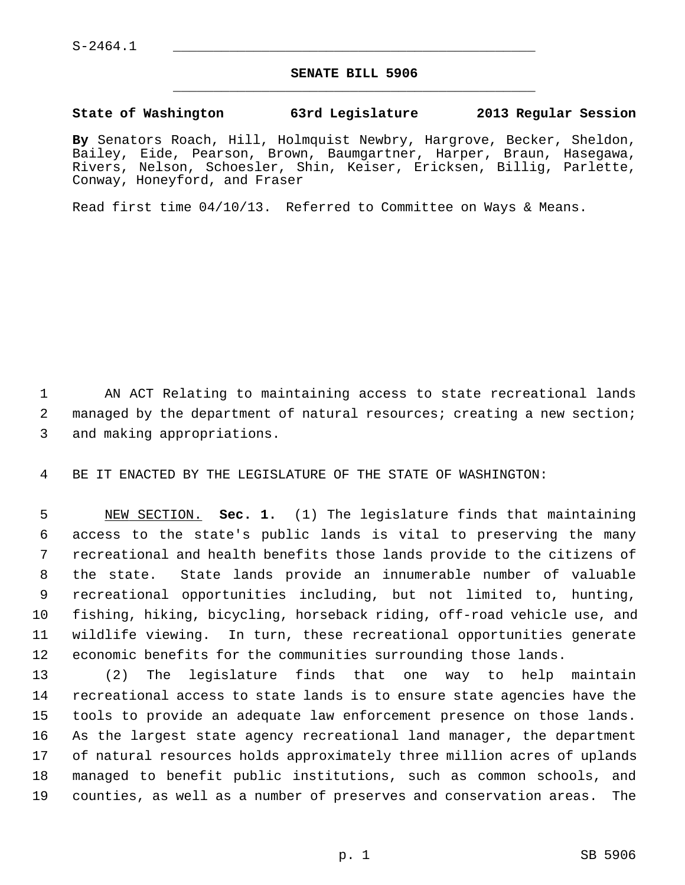$S-2464.1$ 

## **SENATE BILL 5906** \_\_\_\_\_\_\_\_\_\_\_\_\_\_\_\_\_\_\_\_\_\_\_\_\_\_\_\_\_\_\_\_\_\_\_\_\_\_\_\_\_\_\_\_\_

## **State of Washington 63rd Legislature 2013 Regular Session**

**By** Senators Roach, Hill, Holmquist Newbry, Hargrove, Becker, Sheldon, Bailey, Eide, Pearson, Brown, Baumgartner, Harper, Braun, Hasegawa, Rivers, Nelson, Schoesler, Shin, Keiser, Ericksen, Billig, Parlette, Conway, Honeyford, and Fraser

Read first time 04/10/13. Referred to Committee on Ways & Means.

 1 AN ACT Relating to maintaining access to state recreational lands 2 managed by the department of natural resources; creating a new section; 3 and making appropriations.

4 BE IT ENACTED BY THE LEGISLATURE OF THE STATE OF WASHINGTON:

 5 NEW SECTION. **Sec. 1.** (1) The legislature finds that maintaining 6 access to the state's public lands is vital to preserving the many 7 recreational and health benefits those lands provide to the citizens of 8 the state. State lands provide an innumerable number of valuable 9 recreational opportunities including, but not limited to, hunting, 10 fishing, hiking, bicycling, horseback riding, off-road vehicle use, and 11 wildlife viewing. In turn, these recreational opportunities generate 12 economic benefits for the communities surrounding those lands.

13 (2) The legislature finds that one way to help maintain 14 recreational access to state lands is to ensure state agencies have the 15 tools to provide an adequate law enforcement presence on those lands. 16 As the largest state agency recreational land manager, the department 17 of natural resources holds approximately three million acres of uplands 18 managed to benefit public institutions, such as common schools, and 19 counties, as well as a number of preserves and conservation areas. The